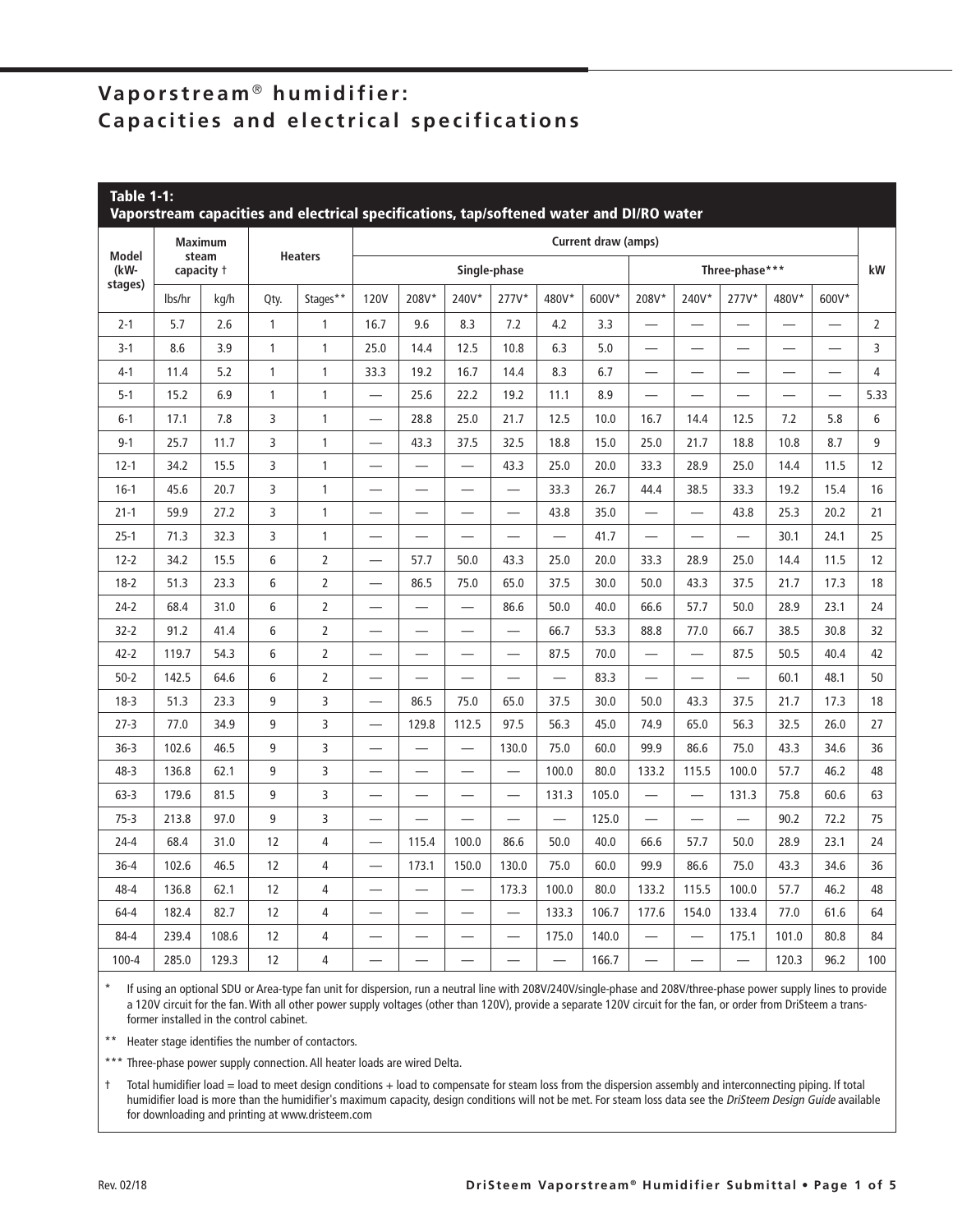# **Vaporstream** ® **humidifier: Capacities and electrical specifications**

| <b>Table 1-1:</b><br>Vaporstream capacities and electrical specifications, tap/softened water and DI/RO water |                                       |       |                |                |                            |                          |                          |                          |       |       |                          |                          |                          |                          |                          |                |
|---------------------------------------------------------------------------------------------------------------|---------------------------------------|-------|----------------|----------------|----------------------------|--------------------------|--------------------------|--------------------------|-------|-------|--------------------------|--------------------------|--------------------------|--------------------------|--------------------------|----------------|
|                                                                                                               | <b>Maximum</b><br>steam<br>capacity + |       | <b>Heaters</b> |                | <b>Current draw (amps)</b> |                          |                          |                          |       |       |                          |                          |                          |                          |                          |                |
| <b>Model</b><br>(kW-                                                                                          |                                       |       |                |                | Single-phase               |                          |                          |                          |       |       | Three-phase***           |                          |                          |                          |                          | kW             |
| stages)                                                                                                       | lbs/hr                                | kg/h  | Qty.           | Stages**       | <b>120V</b>                | 208V*                    | 240V*                    | 277V*                    | 480V* | 600V* | 208V*                    | 240V*                    | $277V^*$                 | 480V*                    | 600V*                    |                |
| $2 - 1$                                                                                                       | 5.7                                   | 2.6   | 1              | 1              | 16.7                       | 9.6                      | 8.3                      | 7.2                      | 4.2   | 3.3   |                          |                          | $\overline{\phantom{0}}$ | $\overline{\phantom{0}}$ |                          | $\overline{2}$ |
| $3-1$                                                                                                         | 8.6                                   | 3.9   | $\mathbf{1}$   | $\mathbf{1}$   | 25.0                       | 14.4                     | 12.5                     | 10.8                     | 6.3   | 5.0   |                          | $\overline{\phantom{0}}$ | $\overline{\phantom{0}}$ | —                        |                          | 3              |
| $4 - 1$                                                                                                       | 11.4                                  | 5.2   | $\mathbf{1}$   | $\mathbf{1}$   | 33.3                       | 19.2                     | 16.7                     | 14.4                     | 8.3   | 6.7   |                          |                          | $\overline{\phantom{0}}$ | $\overline{\phantom{0}}$ |                          | $\overline{4}$ |
| $5-1$                                                                                                         | 15.2                                  | 6.9   | 1              | $\mathbf{1}$   | ÷,                         | 25.6                     | 22.2                     | 19.2                     | 11.1  | 8.9   |                          |                          | ÷,                       |                          | $\overline{\phantom{0}}$ | 5.33           |
| $6 - 1$                                                                                                       | 17.1                                  | 7.8   | 3              | $\mathbf{1}$   |                            | 28.8                     | 25.0                     | 21.7                     | 12.5  | 10.0  | 16.7                     | 14.4                     | 12.5                     | 7.2                      | 5.8                      | 6              |
| $9 - 1$                                                                                                       | 25.7                                  | 11.7  | 3              | $\mathbf{1}$   | $\overline{\phantom{0}}$   | 43.3                     | 37.5                     | 32.5                     | 18.8  | 15.0  | 25.0                     | 21.7                     | 18.8                     | 10.8                     | 8.7                      | 9              |
| $12 - 1$                                                                                                      | 34.2                                  | 15.5  | 3              | $\mathbf{1}$   |                            |                          |                          | 43.3                     | 25.0  | 20.0  | 33.3                     | 28.9                     | 25.0                     | 14.4                     | 11.5                     | 12             |
| $16-1$                                                                                                        | 45.6                                  | 20.7  | 3              | 1              | $\overline{\phantom{0}}$   | —                        | —                        |                          | 33.3  | 26.7  | 44.4                     | 38.5                     | 33.3                     | 19.2                     | 15.4                     | 16             |
| $21 - 1$                                                                                                      | 59.9                                  | 27.2  | 3              | $\mathbf{1}$   |                            |                          | $\overline{\phantom{0}}$ | $\overline{\phantom{0}}$ | 43.8  | 35.0  |                          | $\overline{\phantom{0}}$ | 43.8                     | 25.3                     | 20.2                     | 21             |
| $25-1$                                                                                                        | 71.3                                  | 32.3  | 3              | $\mathbf{1}$   | $\overline{\phantom{0}}$   |                          | $\overline{\phantom{0}}$ |                          |       | 41.7  |                          |                          |                          | 30.1                     | 24.1                     | 25             |
| $12 - 2$                                                                                                      | 34.2                                  | 15.5  | 6              | $\overline{2}$ | $\overline{\phantom{0}}$   | 57.7                     | 50.0                     | 43.3                     | 25.0  | 20.0  | 33.3                     | 28.9                     | 25.0                     | 14.4                     | 11.5                     | 12             |
| $18-2$                                                                                                        | 51.3                                  | 23.3  | 6              | $\overline{2}$ |                            | 86.5                     | 75.0                     | 65.0                     | 37.5  | 30.0  | 50.0                     | 43.3                     | 37.5                     | 21.7                     | 17.3                     | 18             |
| $24-2$                                                                                                        | 68.4                                  | 31.0  | 6              | $\overline{2}$ |                            | $\overline{\phantom{0}}$ | $\overline{\phantom{0}}$ | 86.6                     | 50.0  | 40.0  | 66.6                     | 57.7                     | 50.0                     | 28.9                     | 23.1                     | 24             |
| $32 - 2$                                                                                                      | 91.2                                  | 41.4  | 6              | $\mathbf 2$    |                            | —                        | —                        | $\overline{\phantom{0}}$ | 66.7  | 53.3  | 88.8                     | 77.0                     | 66.7                     | 38.5                     | 30.8                     | 32             |
| $42 - 2$                                                                                                      | 119.7                                 | 54.3  | 6              | $\overline{2}$ | $\overline{\phantom{0}}$   | $\overline{\phantom{0}}$ | $\overline{\phantom{0}}$ | $\overline{\phantom{0}}$ | 87.5  | 70.0  | $\overline{\phantom{0}}$ | $\overline{\phantom{0}}$ | 87.5                     | 50.5                     | 40.4                     | 42             |
| $50 - 2$                                                                                                      | 142.5                                 | 64.6  | 6              | $\overline{2}$ |                            |                          |                          |                          |       | 83.3  |                          |                          | $\overline{\phantom{0}}$ | 60.1                     | 48.1                     | 50             |
| $18-3$                                                                                                        | 51.3                                  | 23.3  | 9              | 3              | $\overline{\phantom{0}}$   | 86.5                     | 75.0                     | 65.0                     | 37.5  | 30.0  | 50.0                     | 43.3                     | 37.5                     | 21.7                     | 17.3                     | 18             |
| $27 - 3$                                                                                                      | 77.0                                  | 34.9  | 9              | 3              | $\overline{\phantom{0}}$   | 129.8                    | 112.5                    | 97.5                     | 56.3  | 45.0  | 74.9                     | 65.0                     | 56.3                     | 32.5                     | 26.0                     | 27             |
| $36 - 3$                                                                                                      | 102.6                                 | 46.5  | 9              | 3              |                            | $\overline{\phantom{0}}$ |                          | 130.0                    | 75.0  | 60.0  | 99.9                     | 86.6                     | 75.0                     | 43.3                     | 34.6                     | 36             |
| 48-3                                                                                                          | 136.8                                 | 62.1  | 9              | 3              |                            |                          | $\overline{\phantom{0}}$ |                          | 100.0 | 80.0  | 133.2                    | 115.5                    | 100.0                    | 57.7                     | 46.2                     | 48             |
| $63 - 3$                                                                                                      | 179.6                                 | 81.5  | 9              | 3              | -                          | -                        | -                        | -                        | 131.3 | 105.0 |                          | $\overline{\phantom{0}}$ | 131.3                    | 75.8                     | 60.6                     | 63             |
| $75-3$                                                                                                        | 213.8                                 | 97.0  | 9              | 3              |                            |                          |                          |                          |       | 125.0 |                          |                          |                          | 90.2                     | 72.2                     | 75             |
| $24 - 4$                                                                                                      | 68.4                                  | 31.0  | 12             | $\sqrt{4}$     |                            | 115.4                    | 100.0                    | 86.6                     | 50.0  | 40.0  | 66.6                     | 57.7                     | 50.0                     | 28.9                     | 23.1                     | 24             |
| $36 - 4$                                                                                                      | 102.6                                 | 46.5  | 12             | $\overline{4}$ | $\equiv$                   | 173.1                    | 150.0                    | 130.0                    | 75.0  | 60.0  | 99.9                     | 86.6                     | 75.0                     | 43.3                     | 34.6                     | 36             |
| 48-4                                                                                                          | 136.8                                 | 62.1  | 12             | $\overline{4}$ | $\overline{\phantom{0}}$   |                          |                          | 173.3                    | 100.0 | 80.0  | 133.2                    | 115.5                    | 100.0                    | 57.7                     | 46.2                     | 48             |
| 64-4                                                                                                          | 182.4                                 | 82.7  | 12             | 4              | -                          | —                        | —                        | $\overline{\phantom{0}}$ | 133.3 | 106.7 | 177.6                    | 154.0                    | 133.4                    | 77.0                     | 61.6                     | 64             |
| $84 - 4$                                                                                                      | 239.4                                 | 108.6 | 12             | $\overline{4}$ | $\overline{\phantom{0}}$   | $\overline{\phantom{0}}$ | $\overline{\phantom{0}}$ | $\qquad \qquad -$        | 175.0 | 140.0 | $\overline{\phantom{0}}$ |                          | 175.1                    | 101.0                    | 80.8                     | 84             |
| $100 - 4$                                                                                                     | 285.0                                 | 129.3 | 12             | 4              | $\overline{\phantom{0}}$   |                          |                          | $\overline{\phantom{0}}$ |       | 166.7 | $\overline{\phantom{0}}$ | $\overline{\phantom{0}}$ | ÷.                       | 120.3                    | 96.2                     | 100            |

If using an optional SDU or Area-type fan unit for dispersion, run a neutral line with 208V/240V/single-phase and 208V/three-phase power supply lines to provide a 120V circuit for the fan. With all other power supply voltages (other than 120V), provide a separate 120V circuit for the fan, or order from DriSteem a transformer installed in the control cabinet.

\*\* Heater stage identifies the number of contactors.

\*\*\* Three-phase power supply connection. All heater loads are wired Delta.

 $\dagger$  Total humidifier load = load to meet design conditions + load to compensate for steam loss from the dispersion assembly and interconnecting piping. If total humidifier load is more than the humidifier's maximum capacity, design conditions will not be met. For steam loss data see the DriSteem Design Guide available for downloading and printing at www.dristeem.com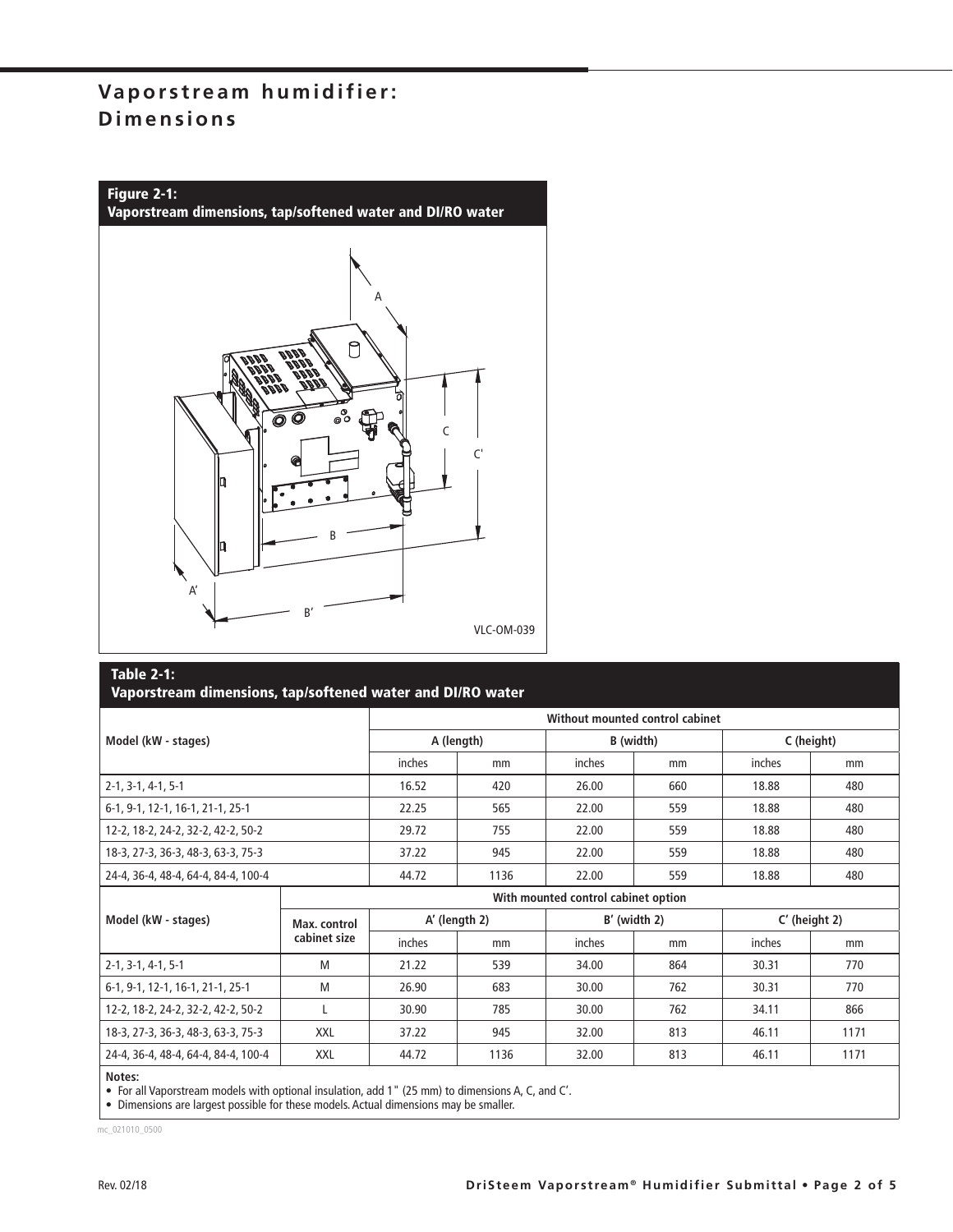## **Vaporstream humidifier: Dimensions**



#### **Table 2-1:**

|                                                  |                                     | Without mounted control cabinet |            |        |                |            |                 |  |  |  |  |
|--------------------------------------------------|-------------------------------------|---------------------------------|------------|--------|----------------|------------|-----------------|--|--|--|--|
| Model (kW - stages)                              |                                     |                                 | A (length) |        | B (width)      | C (height) |                 |  |  |  |  |
|                                                  |                                     | inches                          | mm         | inches | mm             | inches     | mm              |  |  |  |  |
| $2-1, 3-1, 4-1, 5-1$                             |                                     | 16.52                           | 420        | 26.00  | 660            | 18.88      | 480             |  |  |  |  |
| 6-1, 9-1, 12-1, 16-1, 21-1, 25-1                 |                                     | 22.25                           | 565        | 22.00  | 559            | 18.88      | 480             |  |  |  |  |
| 12-2, 18-2, 24-2, 32-2, 42-2, 50-2               |                                     | 29.72                           | 755        | 22.00  | 559            | 18.88      | 480             |  |  |  |  |
| 18-3, 27-3, 36-3, 48-3, 63-3, 75-3               |                                     | 37.22                           | 945        | 22.00  | 559            | 18.88      | 480             |  |  |  |  |
| 24-4, 36-4, 48-4, 64-4, 84-4, 100-4              |                                     | 44.72                           | 1136       | 22.00  | 559            | 18.88      | 480             |  |  |  |  |
|                                                  | With mounted control cabinet option |                                 |            |        |                |            |                 |  |  |  |  |
| Model (kW - stages)                              | Max. control                        | A' (length 2)                   |            |        | $B'$ (width 2) |            | $C'$ (height 2) |  |  |  |  |
|                                                  | cabinet size                        | inches                          | mm         | inches | mm             | inches     | mm              |  |  |  |  |
| $2-1, 3-1, 4-1, 5-1$                             | M                                   | 21.22                           | 539        | 34.00  | 864            | 30.31      | 770             |  |  |  |  |
| 6-1, 9-1, 12-1, 16-1, 21-1, 25-1                 | M                                   | 26.90                           | 683        | 30.00  | 762            | 30.31      | 770             |  |  |  |  |
| 12-2, 18-2, 24-2, 32-2, 42-2, 50-2               |                                     | 30.90                           | 785        | 30.00  | 762            | 34.11      | 866             |  |  |  |  |
| <b>XXL</b><br>18-3, 27-3, 36-3, 48-3, 63-3, 75-3 |                                     | 37.22                           | 945        | 32.00  | 813            | 46.11      | 1171            |  |  |  |  |
| 24-4, 36-4, 48-4, 64-4, 84-4, 100-4              | XXL                                 | 44.72                           | 1136       | 32.00  | 813            | 46.11      | 1171            |  |  |  |  |

**Notes:**

• For all Vaporstream models with optional insulation, add 1" (25 mm) to dimensions A, C, and C'.

• Dimensions are largest possible for these models. Actual dimensions may be smaller.

mc\_021010\_0500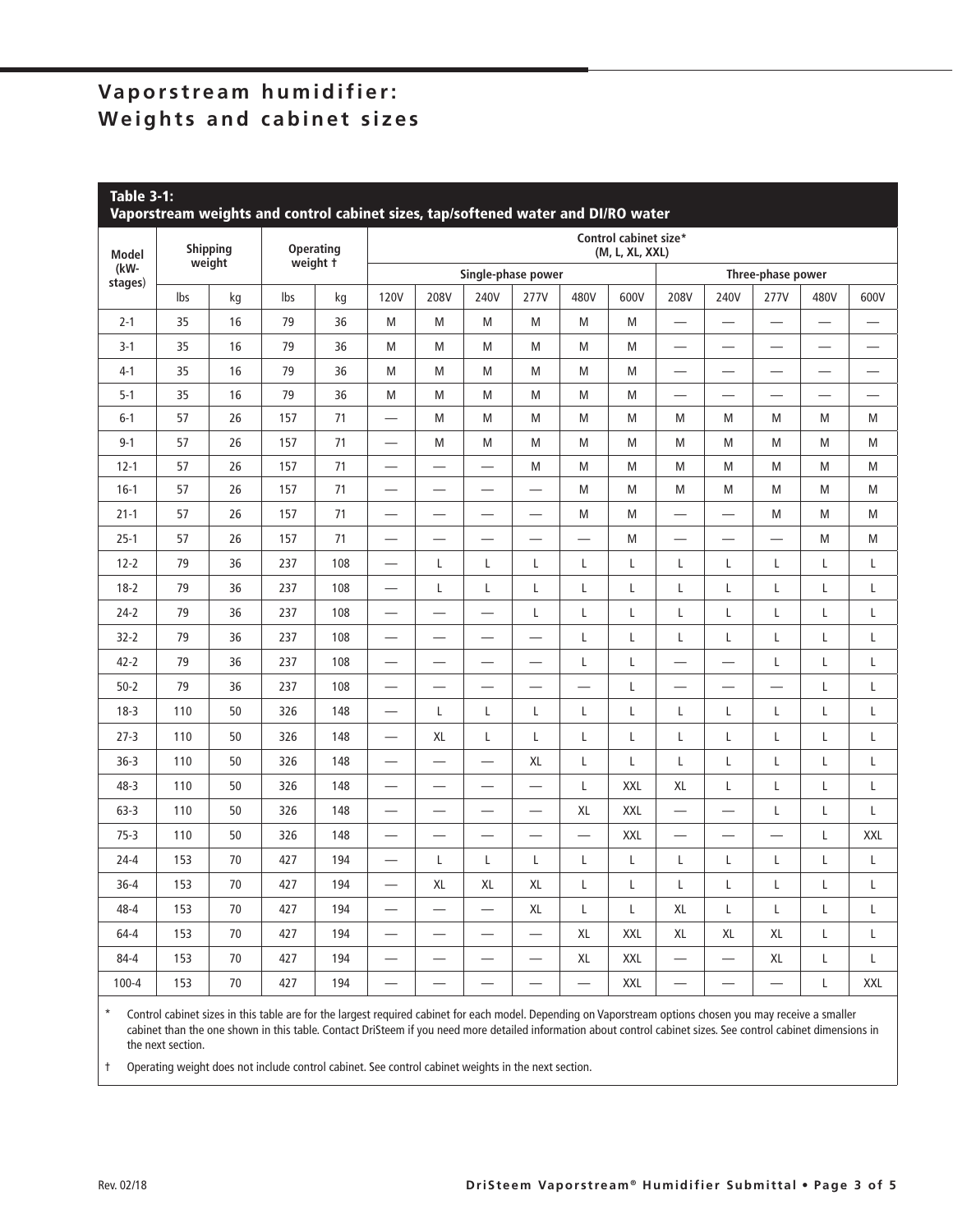## **Vaporstream humidifier: Weights and cabinet sizes**

| <b>Table 3-1:</b><br>Vaporstream weights and control cabinet sizes, tap/softened water and DI/RO water |                           |    |                                       |     |                                          |                          |                          |                          |                          |            |                          |                          |                          |                          |                          |
|--------------------------------------------------------------------------------------------------------|---------------------------|----|---------------------------------------|-----|------------------------------------------|--------------------------|--------------------------|--------------------------|--------------------------|------------|--------------------------|--------------------------|--------------------------|--------------------------|--------------------------|
| <b>Model</b>                                                                                           | <b>Shipping</b><br>weight |    | <b>Operating</b><br>weight $\ddot{t}$ |     | Control cabinet size*<br>(M, L, XL, XXL) |                          |                          |                          |                          |            |                          |                          |                          |                          |                          |
| (kW-<br>stages)                                                                                        |                           |    |                                       |     | Single-phase power                       |                          |                          |                          |                          |            | Three-phase power        |                          |                          |                          |                          |
|                                                                                                        | lbs                       | kg | lbs                                   | kg  | <b>120V</b>                              | 208V                     | 240V                     | 277V                     | 480V                     | 600V       | 208V                     | 240V                     | 277V                     | 480V                     | 600V                     |
| $2 - 1$                                                                                                | 35                        | 16 | 79                                    | 36  | M                                        | M                        | M                        | M                        | M                        | M          |                          | $\overline{\phantom{0}}$ | $\overline{\phantom{0}}$ |                          |                          |
| $3-1$                                                                                                  | 35                        | 16 | 79                                    | 36  | M                                        | M                        | M                        | M                        | M                        | M          | $\overline{\phantom{0}}$ | $\sim$                   | $\overline{\phantom{0}}$ | $\overline{\phantom{0}}$ |                          |
| $4-1$                                                                                                  | 35                        | 16 | 79                                    | 36  | M                                        | M                        | M                        | M                        | M                        | M          | —<br>—                   | $\overline{\phantom{0}}$ | —                        |                          | —                        |
| $5-1$                                                                                                  | 35                        | 16 | 79                                    | 36  | M                                        | M                        | M                        | M                        | M                        | M          |                          | $\overline{\phantom{0}}$ | $\overline{\phantom{0}}$ | $\overline{\phantom{0}}$ | $\overline{\phantom{0}}$ |
| $6-1$                                                                                                  | 57                        | 26 | 157                                   | 71  | $\overline{\phantom{0}}$                 | M                        | M                        | M                        | M                        | M          | M                        | M                        | M                        | M                        | M                        |
| $9 - 1$                                                                                                | 57                        | 26 | 157                                   | 71  |                                          | M                        | M                        | M                        | M                        | M          | M                        | M                        | M                        | M                        | M                        |
| $12 - 1$                                                                                               | 57                        | 26 | 157                                   | 71  | $\overline{\phantom{0}}$                 | —                        | $\overline{\phantom{0}}$ | M                        | M                        | M          | M                        | M                        | M                        | M                        | M                        |
| $16-1$                                                                                                 | 57                        | 26 | 157                                   | 71  | $\overline{\phantom{0}}$                 | $\overline{\phantom{0}}$ | $\overline{\phantom{0}}$ |                          | M                        | M          | M                        | M                        | M                        | M                        | M                        |
| $21 - 1$                                                                                               | 57                        | 26 | 157                                   | 71  |                                          | $\overline{\phantom{0}}$ |                          |                          | M                        | M          | $\overline{\phantom{0}}$ |                          | M                        | M                        | M                        |
| $25-1$                                                                                                 | 57                        | 26 | 157                                   | 71  | $\overline{\phantom{0}}$                 | $\equiv$                 | $\overline{\phantom{0}}$ | $\equiv$                 | $\overline{\phantom{0}}$ | M          | $\overline{\phantom{0}}$ | $\equiv$                 |                          | M                        | M                        |
| $12 - 2$                                                                                               | 79                        | 36 | 237                                   | 108 | $\overline{\phantom{0}}$                 | L                        | L                        | $\mathsf{L}$             | L                        | Г          | L                        | L                        | L                        | Г                        | Г                        |
| $18-2$                                                                                                 | 79                        | 36 | 237                                   | 108 | $\overline{\phantom{0}}$                 | L                        | L                        | Г                        | L                        | Г          | L                        | L                        | L                        | Г                        | Г                        |
| $24-2$                                                                                                 | 79                        | 36 | 237                                   | 108 | $\overline{\phantom{0}}$                 | $\overline{\phantom{0}}$ | $\overline{\phantom{0}}$ | L                        | L                        | Г          | L                        | L                        | L                        | Г                        | Г                        |
| $32 - 2$                                                                                               | 79                        | 36 | 237                                   | 108 | $\overline{\phantom{0}}$                 | $\overline{\phantom{0}}$ | $\overline{\phantom{0}}$ | $\overline{\phantom{0}}$ | L                        | L          | L                        | L                        | L                        | Г                        | L                        |
| $42 - 2$                                                                                               | 79                        | 36 | 237                                   | 108 | $\overline{\phantom{0}}$                 | $\overline{\phantom{0}}$ | $\overline{\phantom{0}}$ |                          | L                        | L          | $\overline{\phantom{0}}$ | $\overline{\phantom{0}}$ | L                        | Г                        | Г                        |
| $50 - 2$                                                                                               | 79                        | 36 | 237                                   | 108 | —                                        | $\overline{\phantom{0}}$ | $\overline{\phantom{0}}$ |                          | $\overline{\phantom{0}}$ | L          | —                        | $\overline{\phantom{0}}$ | $\overline{\phantom{0}}$ | Г                        | Г                        |
| $18-3$                                                                                                 | 110                       | 50 | 326                                   | 148 | $\overline{\phantom{0}}$                 | L                        | L                        | L                        | L                        | L          | L                        | L                        | L                        | Г                        | L                        |
| $27-3$                                                                                                 | 110                       | 50 | 326                                   | 148 | $\overline{\phantom{0}}$                 | XL                       | L                        | L                        | L                        | L          | L                        | L                        | L                        | L                        | L                        |
| $36-3$                                                                                                 | 110                       | 50 | 326                                   | 148 | $\overline{\phantom{0}}$                 | $\overline{\phantom{0}}$ |                          | XL                       | L                        | Г          | L                        | L                        | L                        | Г                        | L                        |
| 48-3                                                                                                   | 110                       | 50 | 326                                   | 148 |                                          | —                        | —                        | $\overline{\phantom{0}}$ | L                        | <b>XXL</b> | XL                       | L                        | L                        | L                        | L                        |
| $63 - 3$                                                                                               | 110                       | 50 | 326                                   | 148 | $\overline{\phantom{0}}$                 | $\overline{\phantom{0}}$ | $\overline{\phantom{0}}$ | $\overline{\phantom{0}}$ | XL                       | XXL        | $\overline{\phantom{0}}$ | $\overline{\phantom{0}}$ | L                        | L                        | $\mathsf L$              |
| $75-3$                                                                                                 | 110                       | 50 | 326                                   | 148 |                                          |                          |                          |                          |                          | XXL        | $\overline{\phantom{0}}$ |                          |                          | L                        | <b>XXL</b>               |
| $24 - 4$                                                                                               | 153                       | 70 | 427                                   | 194 | $\overline{\phantom{0}}$                 | L                        | L                        | L                        | L                        | L          | L                        | L                        | L                        | L                        | L                        |
| $36 - 4$                                                                                               | 153                       | 70 | 427                                   | 194 | $\overline{\phantom{0}}$                 | XL                       | XL                       | XL                       | L                        | L          | Г                        | L                        | L                        | Г                        | Г                        |
| 48-4                                                                                                   | 153                       | 70 | 427                                   | 194 | $\overline{\phantom{0}}$                 | $\overline{\phantom{0}}$ | $\overline{\phantom{0}}$ | XL                       | $\mathsf L$              | L          | XL                       | L                        | L                        | Г                        | L                        |
| $64 - 4$                                                                                               | 153                       | 70 | 427                                   | 194 | $\overline{\phantom{0}}$                 | -                        | $\overline{\phantom{0}}$ | —                        | XL                       | XXL        | XL                       | XL                       | XL                       | Г                        | Г                        |
| $84 - 4$                                                                                               | 153                       | 70 | 427                                   | 194 |                                          | $\overline{\phantom{0}}$ |                          | —                        | XL                       | XXL        | —                        | $\overline{\phantom{0}}$ | XL                       | L                        | Г                        |
| $100 - 4$                                                                                              | 153                       | 70 | 427                                   | 194 | $\overline{\phantom{0}}$                 | $\overline{\phantom{0}}$ | $\overline{\phantom{0}}$ | $\overline{\phantom{0}}$ | $\equiv$                 | XXL        | $\overline{\phantom{0}}$ | $\overline{\phantom{0}}$ | $\overline{\phantom{0}}$ | Г                        | <b>XXL</b>               |

\* Control cabinet sizes in this table are for the largest required cabinet for each model. Depending on Vaporstream options chosen you may receive a smaller cabinet than the one shown in this table. Contact DriSteem if you need more detailed information about control cabinet sizes. See control cabinet dimensions in the next section.

† Operating weight does not include control cabinet. See control cabinet weights in the next section.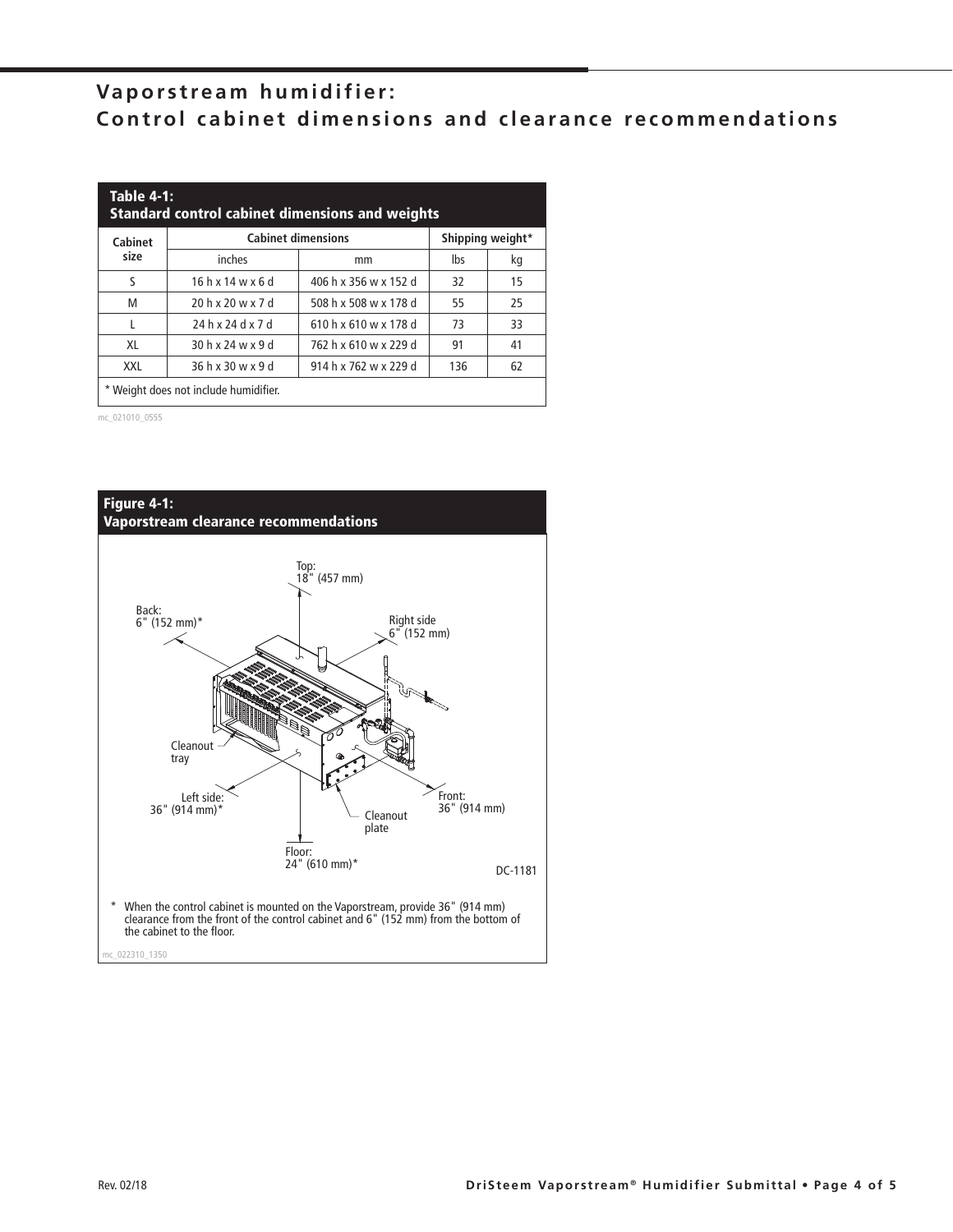## **Vaporstream humidifier: Control cabinet dimensions and clearance recommendations**

| <b>Table 4-1:</b><br><b>Standard control cabinet dimensions and weights</b> |                                               |                       |     |    |  |  |  |  |  |
|-----------------------------------------------------------------------------|-----------------------------------------------|-----------------------|-----|----|--|--|--|--|--|
| Cabinet                                                                     | <b>Cabinet dimensions</b><br>Shipping weight* |                       |     |    |  |  |  |  |  |
| size                                                                        | inches                                        | mm                    | lbs | kg |  |  |  |  |  |
| S                                                                           | $16h$ x $14w$ x 6 d                           | 406 h x 356 w x 152 d | 32  | 15 |  |  |  |  |  |
| M                                                                           | 20 h x 20 w x 7 d                             | 508 h x 508 w x 178 d | 55  | 25 |  |  |  |  |  |
|                                                                             | 24 h x 24 d x 7 d                             | 610 h x 610 w x 178 d | 73  | 33 |  |  |  |  |  |
| XL                                                                          | 30 h x 24 w x 9 d                             | 762 h x 610 w x 229 d | 91  | 41 |  |  |  |  |  |
| 36 h x 30 w x 9 d<br>914 h x 762 w x 229 d<br>62<br>136<br>XXL              |                                               |                       |     |    |  |  |  |  |  |
| * Weight does not include humidifier.                                       |                                               |                       |     |    |  |  |  |  |  |

mc\_021010\_0555